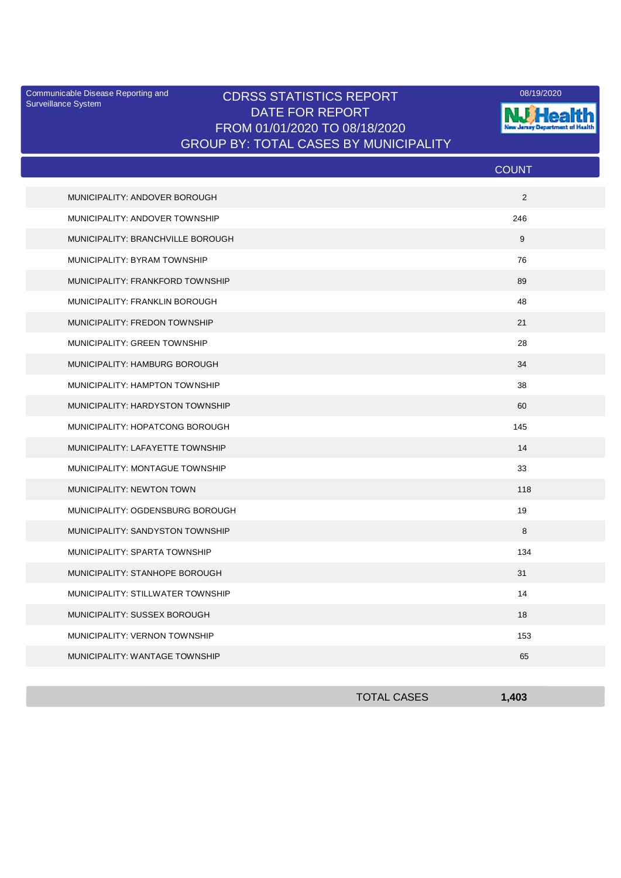Surveillance System

## Communicable Disease Reporting and CDRSS STATISTICS REPORT 2008/19/2020 DATE FOR REPORT FROM 01/01/2020 TO 08/18/2020 GROUP BY: TOTAL CASES BY MUNICIPALITY



|                                   | <b>COUNT</b> |
|-----------------------------------|--------------|
| MUNICIPALITY: ANDOVER BOROUGH     | 2            |
| MUNICIPALITY: ANDOVER TOWNSHIP    | 246          |
| MUNICIPALITY: BRANCHVILLE BOROUGH | 9            |
| MUNICIPALITY: BYRAM TOWNSHIP      | 76           |
| MUNICIPALITY: FRANKFORD TOWNSHIP  | 89           |
| MUNICIPALITY: FRANKLIN BOROUGH    | 48           |
| MUNICIPALITY: FREDON TOWNSHIP     | 21           |
| MUNICIPALITY: GREEN TOWNSHIP      | 28           |
| MUNICIPALITY: HAMBURG BOROUGH     | 34           |
| MUNICIPALITY: HAMPTON TOWNSHIP    | 38           |
| MUNICIPALITY: HARDYSTON TOWNSHIP  | 60           |
| MUNICIPALITY: HOPATCONG BOROUGH   | 145          |
| MUNICIPALITY: LAFAYETTE TOWNSHIP  | 14           |
| MUNICIPALITY: MONTAGUE TOWNSHIP   | 33           |
| MUNICIPALITY: NEWTON TOWN         | 118          |
| MUNICIPALITY: OGDENSBURG BOROUGH  | 19           |
| MUNICIPALITY: SANDYSTON TOWNSHIP  | 8            |
| MUNICIPALITY: SPARTA TOWNSHIP     | 134          |
| MUNICIPALITY: STANHOPE BOROUGH    | 31           |
| MUNICIPALITY: STILLWATER TOWNSHIP | 14           |
| MUNICIPALITY: SUSSEX BOROUGH      | 18           |
| MUNICIPALITY: VERNON TOWNSHIP     | 153          |
| MUNICIPALITY: WANTAGE TOWNSHIP    | 65           |

| <b>TOTAL CASES</b> | 1,403 |
|--------------------|-------|
|                    |       |